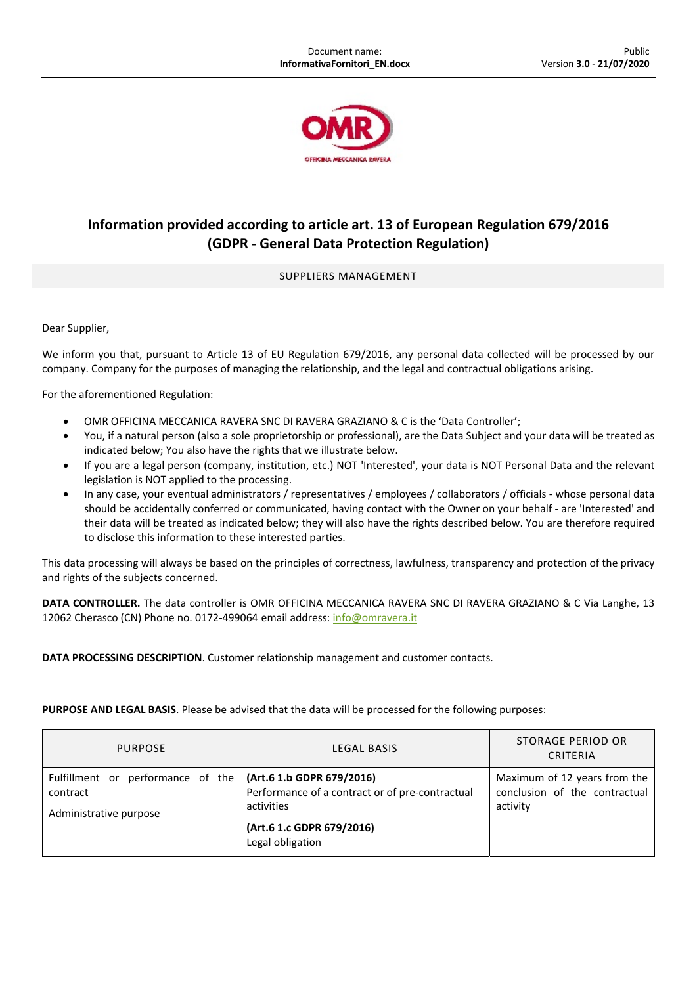

## **Information provided according to article art. 13 of European Regulation 679/2016 (GDPR ‐ General Data Protection Regulation)**

## SUPPLIERS MANAGEMENT

Dear Supplier,

We inform you that, pursuant to Article 13 of EU Regulation 679/2016, any personal data collected will be processed by our company. Company for the purposes of managing the relationship, and the legal and contractual obligations arising.

For the aforementioned Regulation:

- OMR OFFICINA MECCANICA RAVERA SNC DI RAVERA GRAZIANO & C is the 'Data Controller';
- You, if a natural person (also a sole proprietorship or professional), are the Data Subject and your data will be treated as indicated below; You also have the rights that we illustrate below.
- If you are a legal person (company, institution, etc.) NOT 'Interested', your data is NOT Personal Data and the relevant legislation is NOT applied to the processing.
- In any case, your eventual administrators / representatives / employees / collaborators / officials ‐ whose personal data should be accidentally conferred or communicated, having contact with the Owner on your behalf ‐ are 'Interested' and their data will be treated as indicated below; they will also have the rights described below. You are therefore required to disclose this information to these interested parties.

This data processing will always be based on the principles of correctness, lawfulness, transparency and protection of the privacy and rights of the subjects concerned.

**DATA CONTROLLER.** The data controller is OMR OFFICINA MECCANICA RAVERA SNC DI RAVERA GRAZIANO & C Via Langhe, 13 12062 Cherasco (CN) Phone no. 0172-499064 email address: info@omravera.it

**DATA PROCESSING DESCRIPTION**. Customer relationship management and customer contacts.

**PURPOSE AND LEGAL BASIS**. Please be advised that the data will be processed for the following purposes:

| <b>PURPOSE</b>                                                                                           | LEGAL BASIS                                                                                                    | STORAGE PERIOD OR<br>CRITERIA                                             |
|----------------------------------------------------------------------------------------------------------|----------------------------------------------------------------------------------------------------------------|---------------------------------------------------------------------------|
| Fulfillment or performance of the $\int (Art.6 1.b GDPR 679/2016)$<br>contract<br>Administrative purpose | Performance of a contract or of pre-contractual<br>activities<br>(Art.6 1.c GDPR 679/2016)<br>Legal obligation | Maximum of 12 years from the<br>conclusion of the contractual<br>activity |